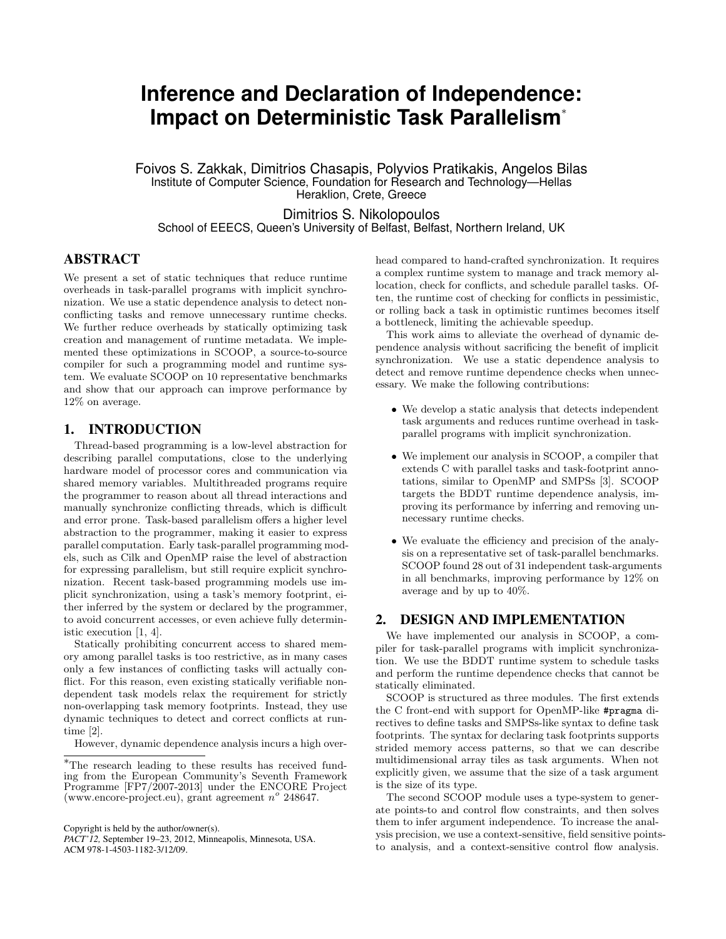# **Inference and Declaration of Independence: Impact on Deterministic Task Parallelism**<sup>∗</sup>

Foivos S. Zakkak, Dimitrios Chasapis, Polyvios Pratikakis, Angelos Bilas Institute of Computer Science, Foundation for Research and Technology—Hellas Heraklion, Crete, Greece

Dimitrios S. Nikolopoulos School of EEECS, Queen's University of Belfast, Belfast, Northern Ireland, UK

### ABSTRACT

We present a set of static techniques that reduce runtime overheads in task-parallel programs with implicit synchronization. We use a static dependence analysis to detect nonconflicting tasks and remove unnecessary runtime checks. We further reduce overheads by statically optimizing task creation and management of runtime metadata. We implemented these optimizations in SCOOP, a source-to-source compiler for such a programming model and runtime system. We evaluate SCOOP on 10 representative benchmarks and show that our approach can improve performance by 12% on average.

## 1. INTRODUCTION

Thread-based programming is a low-level abstraction for describing parallel computations, close to the underlying hardware model of processor cores and communication via shared memory variables. Multithreaded programs require the programmer to reason about all thread interactions and manually synchronize conflicting threads, which is difficult and error prone. Task-based parallelism offers a higher level abstraction to the programmer, making it easier to express parallel computation. Early task-parallel programming models, such as Cilk and OpenMP raise the level of abstraction for expressing parallelism, but still require explicit synchronization. Recent task-based programming models use implicit synchronization, using a task's memory footprint, either inferred by the system or declared by the programmer, to avoid concurrent accesses, or even achieve fully deterministic execution [1, 4].

Statically prohibiting concurrent access to shared memory among parallel tasks is too restrictive, as in many cases only a few instances of conflicting tasks will actually conflict. For this reason, even existing statically verifiable nondependent task models relax the requirement for strictly non-overlapping task memory footprints. Instead, they use dynamic techniques to detect and correct conflicts at runtime [2].

However, dynamic dependence analysis incurs a high over-

Copyright is held by the author/owner(s).

head compared to hand-crafted synchronization. It requires a complex runtime system to manage and track memory allocation, check for conflicts, and schedule parallel tasks. Often, the runtime cost of checking for conflicts in pessimistic, or rolling back a task in optimistic runtimes becomes itself a bottleneck, limiting the achievable speedup.

This work aims to alleviate the overhead of dynamic dependence analysis without sacrificing the benefit of implicit synchronization. We use a static dependence analysis to detect and remove runtime dependence checks when unnecessary. We make the following contributions:

- We develop a static analysis that detects independent task arguments and reduces runtime overhead in taskparallel programs with implicit synchronization.
- We implement our analysis in SCOOP, a compiler that extends C with parallel tasks and task-footprint annotations, similar to OpenMP and SMPSs [3]. SCOOP targets the BDDT runtime dependence analysis, improving its performance by inferring and removing unnecessary runtime checks.
- We evaluate the efficiency and precision of the analysis on a representative set of task-parallel benchmarks. SCOOP found 28 out of 31 independent task-arguments in all benchmarks, improving performance by 12% on average and by up to 40%.

## 2. DESIGN AND IMPLEMENTATION

We have implemented our analysis in SCOOP, a compiler for task-parallel programs with implicit synchronization. We use the BDDT runtime system to schedule tasks and perform the runtime dependence checks that cannot be statically eliminated.

SCOOP is structured as three modules. The first extends the C front-end with support for OpenMP-like #pragma directives to define tasks and SMPSs-like syntax to define task footprints. The syntax for declaring task footprints supports strided memory access patterns, so that we can describe multidimensional array tiles as task arguments. When not explicitly given, we assume that the size of a task argument is the size of its type.

The second SCOOP module uses a type-system to generate points-to and control flow constraints, and then solves them to infer argument independence. To increase the analysis precision, we use a context-sensitive, field sensitive pointsto analysis, and a context-sensitive control flow analysis.

<sup>∗</sup>The research leading to these results has received funding from the European Community's Seventh Framework Programme [FP7/2007-2013] under the ENCORE Project (www.encore-project.eu), grant agreement  $n^{\circ}$  248647.

*PACT'12,* September 19–23, 2012, Minneapolis, Minnesota, USA. ACM 978-1-4503-1182-3/12/09.